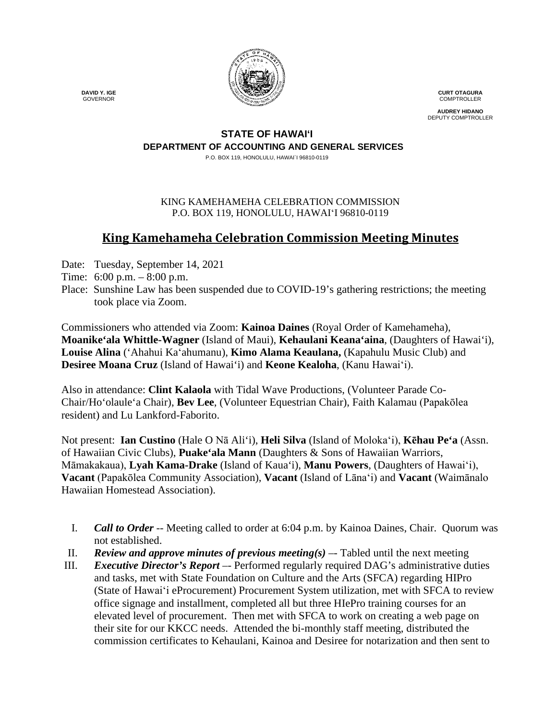

**CURT OTAGURA** COMPTROLLER

**AUDREY HIDANO** DEPUTY COMPTROLLER

### **STATE OF HAWAI'I DEPARTMENT OF ACCOUNTING AND GENERAL SERVICES**

P.O. BOX 119, HONOLULU, HAWAI`I 96810-0119

#### KING KAMEHAMEHA CELEBRATION COMMISSION P.O. BOX 119, HONOLULU, HAWAIʻI 96810-0119

# **King Kamehameha Celebration Commission Meeting Minutes**

- Date: Tuesday, September 14, 2021
- Time: 6:00 p.m. 8:00 p.m.
- Place: Sunshine Law has been suspended due to COVID-19's gathering restrictions; the meeting took place via Zoom.

Commissioners who attended via Zoom: **Kainoa Daines** (Royal Order of Kamehameha), **Moanike'ala Whittle-Wagner** (Island of Maui), **Kehaulani Keana'aina**, (Daughters of Hawai'i), **Louise Alina** ('Ahahui Kaʻahumanu), **Kimo Alama Keaulana,** (Kapahulu Music Club) and **Desiree Moana Cruz** (Island of Hawai'i) and **Keone Kealoha**, (Kanu Hawaiʻi).

Also in attendance: **Clint Kalaola** with Tidal Wave Productions, (Volunteer Parade Co-Chair/Ho'olaule'a Chair), **Bev Lee**, (Volunteer Equestrian Chair), Faith Kalamau (Papakōlea resident) and Lu Lankford-Faborito.

Not present: **Ian Custino** (Hale O Nā Ali'i), **Heli Silva** (Island of Molokaʻi), **Kēhau Pe'a** (Assn. of Hawaiian Civic Clubs), **Puake'ala Mann** (Daughters & Sons of Hawaiian Warriors, Māmakakaua), **Lyah Kama-Drake** (Island of Kaua'i), **Manu Powers**, (Daughters of Hawaiʻi), **Vacant** (Papakōlea Community Association), **Vacant** (Island of Lāna'i) and **Vacant** (Waimānalo Hawaiian Homestead Association).

- I. *Call to Order* -- Meeting called to order at 6:04 p.m. by Kainoa Daines, Chair. Quorum was not established.
- II. *Review and approve minutes of previous meeting(s)* –- Tabled until the next meeting
- III. *Executive Director's Report* –- Performed regularly required DAG's administrative duties and tasks, met with State Foundation on Culture and the Arts (SFCA) regarding HIPro (State of Hawaiʻi eProcurement) Procurement System utilization, met with SFCA to review office signage and installment, completed all but three HIePro training courses for an elevated level of procurement. Then met with SFCA to work on creating a web page on their site for our KKCC needs. Attended the bi-monthly staff meeting, distributed the commission certificates to Kehaulani, Kainoa and Desiree for notarization and then sent to

 **DAVID Y. IGE** GOVERNOR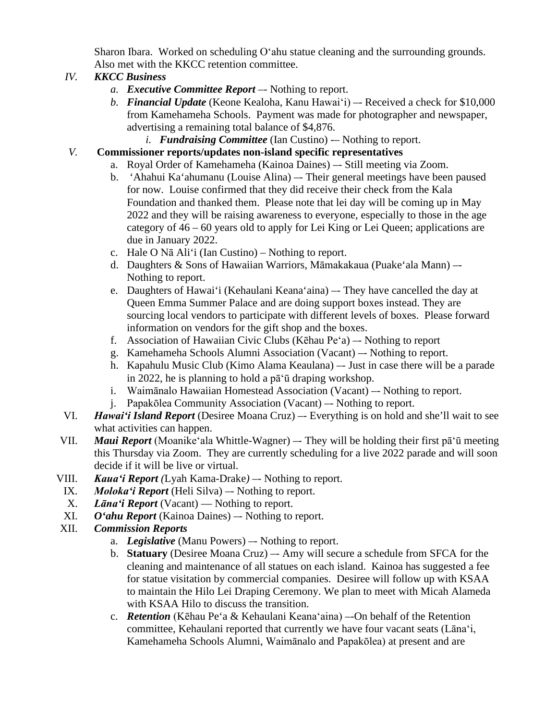Sharon Ibara. Worked on scheduling Oʻahu statue cleaning and the surrounding grounds. Also met with the KKCC retention committee.

## *IV. KKCC Business*

- *a. Executive Committee Report –-* Nothing to report.
- *b. Financial Update* (Keone Kealoha, Kanu Hawaiʻi) –- Received a check for \$10,000 from Kamehameha Schools. Payment was made for photographer and newspaper, advertising a remaining total balance of \$4,876.
	- *i. Fundraising Committee* (Ian Custino) -– Nothing to report.

### *V.* **Commissioner reports/updates non-island specific representatives**

- a. Royal Order of Kamehameha (Kainoa Daines) –- Still meeting via Zoom.
- b. 'Ahahui Ka'ahumanu (Louise Alina) –- Their general meetings have been paused for now. Louise confirmed that they did receive their check from the Kala Foundation and thanked them. Please note that lei day will be coming up in May 2022 and they will be raising awareness to everyone, especially to those in the age category of 46 – 60 years old to apply for Lei King or Lei Queen; applications are due in January 2022.
- c. Hale O Nā Ali'i (Ian Custino) Nothing to report.
- d. Daughters & Sons of Hawaiian Warriors, Māmakakaua (Puake'ala Mann) –- Nothing to report.
- e. Daughters of Hawai'i (Kehaulani Keana'aina) –- They have cancelled the day at Queen Emma Summer Palace and are doing support boxes instead. They are sourcing local vendors to participate with different levels of boxes. Please forward information on vendors for the gift shop and the boxes.
- f. Association of Hawaiian Civic Clubs (Kēhau Peʻa) –- Nothing to report
- g. Kamehameha Schools Alumni Association (Vacant) –- Nothing to report.
- h. Kapahulu Music Club (Kimo Alama Keaulana) –- Just in case there will be a parade in 2022, he is planning to hold a pāʻū draping workshop.
- i. Waimānalo Hawaiian Homestead Association (Vacant) –- Nothing to report.
- j. Papakōlea Community Association (Vacant) –- Nothing to report.
- VI. *Hawaiʻi Island Report* (Desiree Moana Cruz) –- Everything is on hold and she'll wait to see what activities can happen.
- VII. *Maui Report* (Moanikeʻala Whittle-Wagner) –- They will be holding their first pāʻū meeting this Thursday via Zoom. They are currently scheduling for a live 2022 parade and will soon decide if it will be live or virtual.
- VIII. *Kauaʻi Report (*Lyah Kama-Drake*) –-* Nothing to report.
- IX. *Molokaʻi Report* (Heli Silva) –- Nothing to report.
- X. *Lānaʻi Report* (Vacant) Nothing to report.
- XI. *O'ahu Report* (Kainoa Daines) –- Nothing to report.
- XII. *Commission Reports*
	- a. *Legislative* (Manu Powers) –- Nothing to report.
	- b. **Statuary** (Desiree Moana Cruz) –- Amy will secure a schedule from SFCA for the cleaning and maintenance of all statues on each island. Kainoa has suggested a fee for statue visitation by commercial companies. Desiree will follow up with KSAA to maintain the Hilo Lei Draping Ceremony. We plan to meet with Micah Alameda with KSAA Hilo to discuss the transition.
	- c. *Retention* (Kēhau Pe'a & Kehaulani Keanaʻaina) –-On behalf of the Retention committee, Kehaulani reported that currently we have four vacant seats (Lānaʻi, Kamehameha Schools Alumni, Waimānalo and Papakōlea) at present and are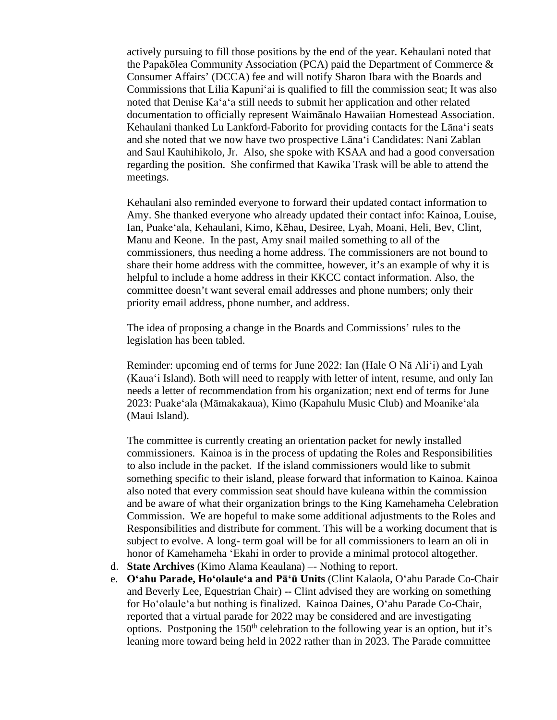actively pursuing to fill those positions by the end of the year. Kehaulani noted that the Papakōlea Community Association (PCA) paid the Department of Commerce & Consumer Affairs' (DCCA) fee and will notify Sharon Ibara with the Boards and Commissions that Lilia Kapuniʻai is qualified to fill the commission seat; It was also noted that Denise Kaʻaʻa still needs to submit her application and other related documentation to officially represent Waimānalo Hawaiian Homestead Association. Kehaulani thanked Lu Lankford-Faborito for providing contacts for the Lānaʻi seats and she noted that we now have two prospective Lānaʻi Candidates: Nani Zablan and Saul Kauhihikolo, Jr. Also, she spoke with KSAA and had a good conversation regarding the position. She confirmed that Kawika Trask will be able to attend the meetings.

Kehaulani also reminded everyone to forward their updated contact information to Amy. She thanked everyone who already updated their contact info: Kainoa, Louise, Ian, Puakeʻala, Kehaulani, Kimo, Kēhau, Desiree, Lyah, Moani, Heli, Bev, Clint, Manu and Keone. In the past, Amy snail mailed something to all of the commissioners, thus needing a home address. The commissioners are not bound to share their home address with the committee, however, it's an example of why it is helpful to include a home address in their KKCC contact information. Also, the committee doesn't want several email addresses and phone numbers; only their priority email address, phone number, and address.

The idea of proposing a change in the Boards and Commissions' rules to the legislation has been tabled.

Reminder: upcoming end of terms for June 2022: Ian (Hale O Nā Aliʻi) and Lyah (Kauaʻi Island). Both will need to reapply with letter of intent, resume, and only Ian needs a letter of recommendation from his organization; next end of terms for June 2023: Puakeʻala (Māmakakaua), Kimo (Kapahulu Music Club) and Moanikeʻala (Maui Island).

The committee is currently creating an orientation packet for newly installed commissioners. Kainoa is in the process of updating the Roles and Responsibilities to also include in the packet. If the island commissioners would like to submit something specific to their island, please forward that information to Kainoa. Kainoa also noted that every commission seat should have kuleana within the commission and be aware of what their organization brings to the King Kamehameha Celebration Commission. We are hopeful to make some additional adjustments to the Roles and Responsibilities and distribute for comment. This will be a working document that is subject to evolve. A long- term goal will be for all commissioners to learn an oli in honor of Kamehameha ʻEkahi in order to provide a minimal protocol altogether.

- d. **State Archives** (Kimo Alama Keaulana) –- Nothing to report.
- e. **Oʻahu Parade, Hoʻolauleʻa and Pāʻū Units** (Clint Kalaola, Oʻahu Parade Co-Chair and Beverly Lee, Equestrian Chair) **--** Clint advised they are working on something for Hoʻolauleʻa but nothing is finalized. Kainoa Daines, Oʻahu Parade Co-Chair, reported that a virtual parade for 2022 may be considered and are investigating options. Postponing the  $150<sup>th</sup>$  celebration to the following year is an option, but it's leaning more toward being held in 2022 rather than in 2023. The Parade committee